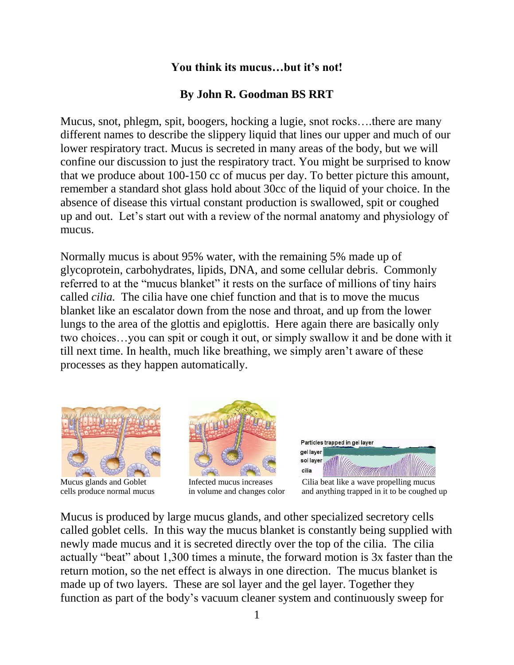## **You think its mucus…but it's not!**

## **By John R. Goodman BS RRT**

Mucus, snot, phlegm, spit, boogers, hocking a lugie, snot rocks….there are many different names to describe the slippery liquid that lines our upper and much of our lower respiratory tract. Mucus is secreted in many areas of the body, but we will confine our discussion to just the respiratory tract. You might be surprised to know that we produce about 100-150 cc of mucus per day. To better picture this amount, remember a standard shot glass hold about 30cc of the liquid of your choice. In the absence of disease this virtual constant production is swallowed, spit or coughed up and out. Let's start out with a review of the normal anatomy and physiology of mucus.

Normally mucus is about 95% water, with the remaining 5% made up of glycoprotein, carbohydrates, lipids, DNA, and some cellular debris. Commonly referred to at the "mucus blanket" it rests on the surface of millions of tiny hairs called *cilia.* The cilia have one chief function and that is to move the mucus blanket like an escalator down from the nose and throat, and up from the lower lungs to the area of the glottis and epiglottis. Here again there are basically only two choices…you can spit or cough it out, or simply swallow it and be done with it till next time. In health, much like breathing, we simply aren't aware of these processes as they happen automatically.







Mucus glands and Goblet Infected mucus increases Cilia beat like a wave propelling mucus cells produce normal mucus in volume and changes color and anything trapped in it to be coughed up

Mucus is produced by large mucus glands, and other specialized secretory cells called goblet cells. In this way the mucus blanket is constantly being supplied with newly made mucus and it is secreted directly over the top of the cilia. The cilia actually "beat" about 1,300 times a minute, the forward motion is 3x faster than the return motion, so the net effect is always in one direction. The mucus blanket is made up of two layers. These are sol layer and the gel layer. Together they function as part of the body's vacuum cleaner system and continuously sweep for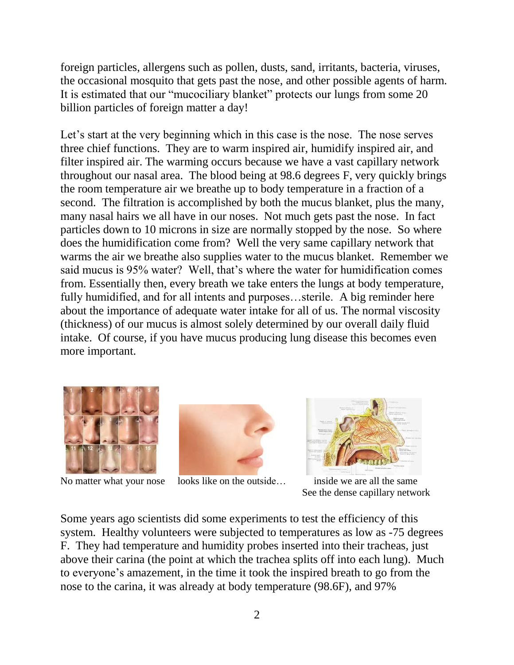foreign particles, allergens such as pollen, dusts, sand, irritants, bacteria, viruses, the occasional mosquito that gets past the nose, and other possible agents of harm. It is estimated that our "mucociliary blanket" protects our lungs from some 20 billion particles of foreign matter a day!

Let's start at the very beginning which in this case is the nose. The nose serves three chief functions. They are to warm inspired air, humidify inspired air, and filter inspired air. The warming occurs because we have a vast capillary network throughout our nasal area. The blood being at 98.6 degrees F, very quickly brings the room temperature air we breathe up to body temperature in a fraction of a second. The filtration is accomplished by both the mucus blanket, plus the many, many nasal hairs we all have in our noses. Not much gets past the nose. In fact particles down to 10 microns in size are normally stopped by the nose. So where does the humidification come from? Well the very same capillary network that warms the air we breathe also supplies water to the mucus blanket. Remember we said mucus is 95% water? Well, that's where the water for humidification comes from. Essentially then, every breath we take enters the lungs at body temperature, fully humidified, and for all intents and purposes…sterile. A big reminder here about the importance of adequate water intake for all of us. The normal viscosity (thickness) of our mucus is almost solely determined by our overall daily fluid intake. Of course, if you have mucus producing lung disease this becomes even more important.







No matter what your nose looks like on the outside... inside we are all the same See the dense capillary network

Some years ago scientists did some experiments to test the efficiency of this system. Healthy volunteers were subjected to temperatures as low as -75 degrees F. They had temperature and humidity probes inserted into their tracheas, just above their carina (the point at which the trachea splits off into each lung). Much to everyone's amazement, in the time it took the inspired breath to go from the nose to the carina, it was already at body temperature (98.6F), and 97%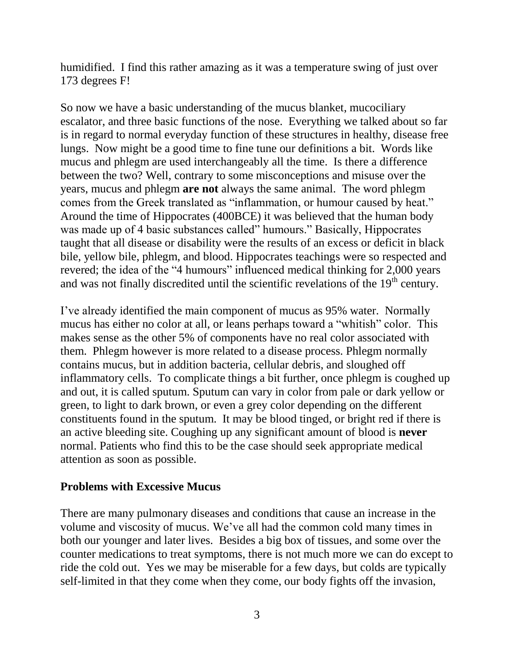humidified. I find this rather amazing as it was a temperature swing of just over 173 degrees F!

So now we have a basic understanding of the mucus blanket, mucociliary escalator, and three basic functions of the nose. Everything we talked about so far is in regard to normal everyday function of these structures in healthy, disease free lungs. Now might be a good time to fine tune our definitions a bit. Words like mucus and phlegm are used interchangeably all the time. Is there a difference between the two? Well, contrary to some misconceptions and misuse over the years, mucus and phlegm **are not** always the same animal. The word phlegm comes from the Greek translated as "inflammation, or humour caused by heat." Around the time of Hippocrates (400BCE) it was believed that the human body was made up of 4 basic substances called" humours." Basically, Hippocrates taught that all disease or disability were the results of an excess or deficit in black bile, yellow bile, phlegm, and blood. Hippocrates teachings were so respected and revered; the idea of the "4 humours" influenced medical thinking for 2,000 years and was not finally discredited until the scientific revelations of the  $19<sup>th</sup>$  century.

I've already identified the main component of mucus as 95% water. Normally mucus has either no color at all, or leans perhaps toward a "whitish" color. This makes sense as the other 5% of components have no real color associated with them. Phlegm however is more related to a disease process. Phlegm normally contains mucus, but in addition bacteria, cellular debris, and sloughed off inflammatory cells. To complicate things a bit further, once phlegm is coughed up and out, it is called sputum. Sputum can vary in color from pale or dark yellow or green, to light to dark brown, or even a grey color depending on the different constituents found in the sputum. It may be blood tinged, or bright red if there is an active bleeding site. Coughing up any significant amount of blood is **never** normal. Patients who find this to be the case should seek appropriate medical attention as soon as possible.

## **Problems with Excessive Mucus**

There are many pulmonary diseases and conditions that cause an increase in the volume and viscosity of mucus. We've all had the common cold many times in both our younger and later lives. Besides a big box of tissues, and some over the counter medications to treat symptoms, there is not much more we can do except to ride the cold out. Yes we may be miserable for a few days, but colds are typically self-limited in that they come when they come, our body fights off the invasion,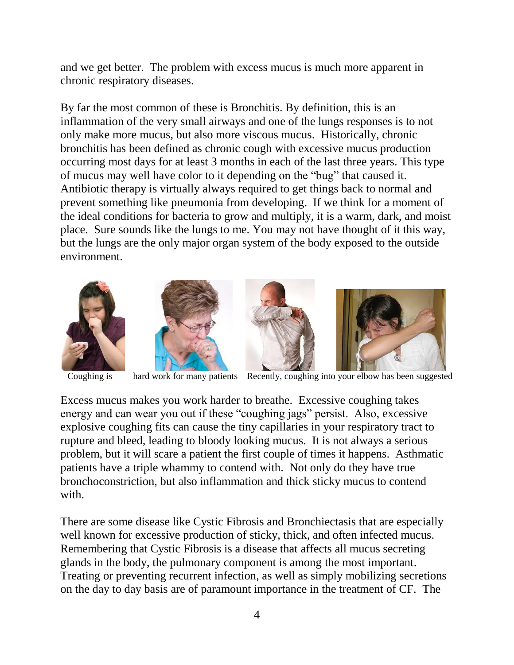and we get better. The problem with excess mucus is much more apparent in chronic respiratory diseases.

By far the most common of these is Bronchitis. By definition, this is an inflammation of the very small airways and one of the lungs responses is to not only make more mucus, but also more viscous mucus. Historically, chronic bronchitis has been defined as chronic cough with excessive mucus production occurring most days for at least 3 months in each of the last three years. This type of mucus may well have color to it depending on the "bug" that caused it. Antibiotic therapy is virtually always required to get things back to normal and prevent something like pneumonia from developing. If we think for a moment of the ideal conditions for bacteria to grow and multiply, it is a warm, dark, and moist place. Sure sounds like the lungs to me. You may not have thought of it this way, but the lungs are the only major organ system of the body exposed to the outside environment.









Coughing is hard work for many patients Recently, coughing into your elbow has been suggested

Excess mucus makes you work harder to breathe. Excessive coughing takes energy and can wear you out if these "coughing jags" persist. Also, excessive explosive coughing fits can cause the tiny capillaries in your respiratory tract to rupture and bleed, leading to bloody looking mucus. It is not always a serious problem, but it will scare a patient the first couple of times it happens. Asthmatic patients have a triple whammy to contend with. Not only do they have true bronchoconstriction, but also inflammation and thick sticky mucus to contend with.

There are some disease like Cystic Fibrosis and Bronchiectasis that are especially well known for excessive production of sticky, thick, and often infected mucus. Remembering that Cystic Fibrosis is a disease that affects all mucus secreting glands in the body, the pulmonary component is among the most important. Treating or preventing recurrent infection, as well as simply mobilizing secretions on the day to day basis are of paramount importance in the treatment of CF. The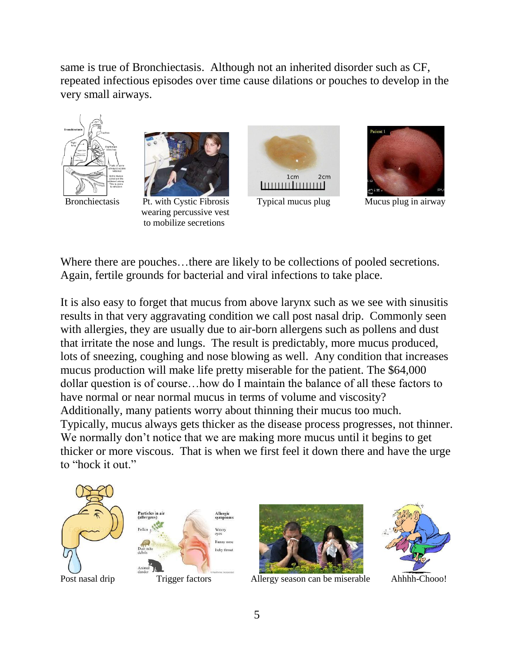same is true of Bronchiectasis. Although not an inherited disorder such as CF, repeated infectious episodes over time cause dilations or pouches to develop in the very small airways.





 wearing percussive vest to mobilize secretions





Bronchiectasis Pt. with Cystic Fibrosis Typical mucus plug Mucus plug in airway

Where there are pouches...there are likely to be collections of pooled secretions. Again, fertile grounds for bacterial and viral infections to take place.

It is also easy to forget that mucus from above larynx such as we see with sinusitis results in that very aggravating condition we call post nasal drip. Commonly seen with allergies, they are usually due to air-born allergens such as pollens and dust that irritate the nose and lungs. The result is predictably, more mucus produced, lots of sneezing, coughing and nose blowing as well. Any condition that increases mucus production will make life pretty miserable for the patient. The \$64,000 dollar question is of course…how do I maintain the balance of all these factors to have normal or near normal mucus in terms of volume and viscosity? Additionally, many patients worry about thinning their mucus too much. Typically, mucus always gets thicker as the disease process progresses, not thinner. We normally don't notice that we are making more mucus until it begins to get thicker or more viscous. That is when we first feel it down there and have the urge to "hock it out."

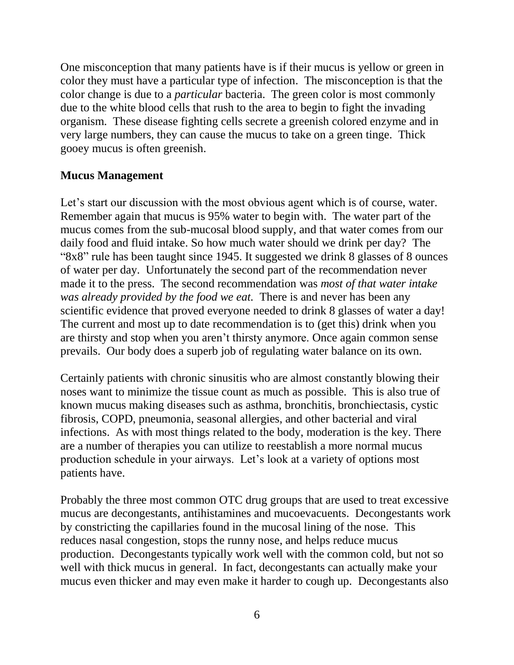One misconception that many patients have is if their mucus is yellow or green in color they must have a particular type of infection. The misconception is that the color change is due to a *particular* bacteria. The green color is most commonly due to the white blood cells that rush to the area to begin to fight the invading organism. These disease fighting cells secrete a greenish colored enzyme and in very large numbers, they can cause the mucus to take on a green tinge. Thick gooey mucus is often greenish.

## **Mucus Management**

Let's start our discussion with the most obvious agent which is of course, water. Remember again that mucus is 95% water to begin with. The water part of the mucus comes from the sub-mucosal blood supply, and that water comes from our daily food and fluid intake. So how much water should we drink per day? The "8x8" rule has been taught since 1945. It suggested we drink 8 glasses of 8 ounces of water per day. Unfortunately the second part of the recommendation never made it to the press. The second recommendation was *most of that water intake was already provided by the food we eat.* There is and never has been any scientific evidence that proved everyone needed to drink 8 glasses of water a day! The current and most up to date recommendation is to (get this) drink when you are thirsty and stop when you aren't thirsty anymore. Once again common sense prevails. Our body does a superb job of regulating water balance on its own.

Certainly patients with chronic sinusitis who are almost constantly blowing their noses want to minimize the tissue count as much as possible. This is also true of known mucus making diseases such as asthma, bronchitis, bronchiectasis, cystic fibrosis, COPD, pneumonia, seasonal allergies, and other bacterial and viral infections. As with most things related to the body, moderation is the key. There are a number of therapies you can utilize to reestablish a more normal mucus production schedule in your airways. Let's look at a variety of options most patients have.

Probably the three most common OTC drug groups that are used to treat excessive mucus are decongestants, antihistamines and mucoevacuents. Decongestants work by constricting the capillaries found in the mucosal lining of the nose. This reduces nasal congestion, stops the runny nose, and helps reduce mucus production. Decongestants typically work well with the common cold, but not so well with thick mucus in general. In fact, decongestants can actually make your mucus even thicker and may even make it harder to cough up. Decongestants also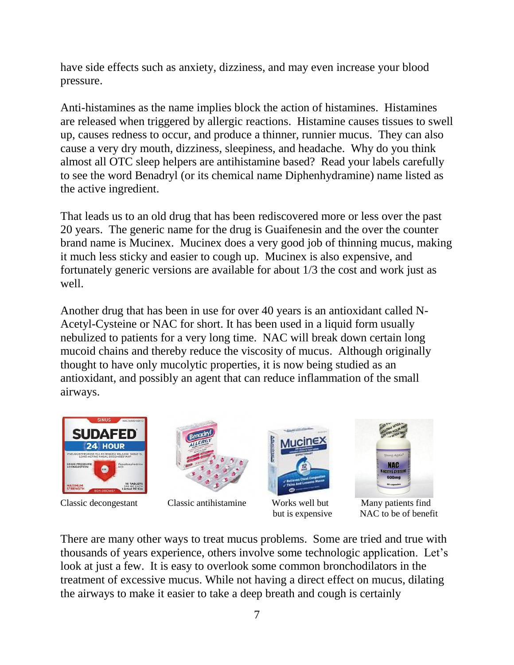have side effects such as anxiety, dizziness, and may even increase your blood pressure.

Anti-histamines as the name implies block the action of histamines. Histamines are released when triggered by allergic reactions. Histamine causes tissues to swell up, causes redness to occur, and produce a thinner, runnier mucus. They can also cause a very dry mouth, dizziness, sleepiness, and headache. Why do you think almost all OTC sleep helpers are antihistamine based? Read your labels carefully to see the word Benadryl (or its chemical name Diphenhydramine) name listed as the active ingredient.

That leads us to an old drug that has been rediscovered more or less over the past 20 years. The generic name for the drug is Guaifenesin and the over the counter brand name is Mucinex. Mucinex does a very good job of thinning mucus, making it much less sticky and easier to cough up. Mucinex is also expensive, and fortunately generic versions are available for about 1/3 the cost and work just as well.

Another drug that has been in use for over 40 years is an antioxidant called N-Acetyl-Cysteine or NAC for short. It has been used in a liquid form usually nebulized to patients for a very long time. NAC will break down certain long mucoid chains and thereby reduce the viscosity of mucus. Although originally thought to have only mucolytic properties, it is now being studied as an antioxidant, and possibly an agent that can reduce inflammation of the small airways.





Classic decongestant Classic antihistamine Works well but Many patients find





but is expensive NAC to be of benefit

There are many other ways to treat mucus problems. Some are tried and true with thousands of years experience, others involve some technologic application. Let's look at just a few. It is easy to overlook some common bronchodilators in the treatment of excessive mucus. While not having a direct effect on mucus, dilating the airways to make it easier to take a deep breath and cough is certainly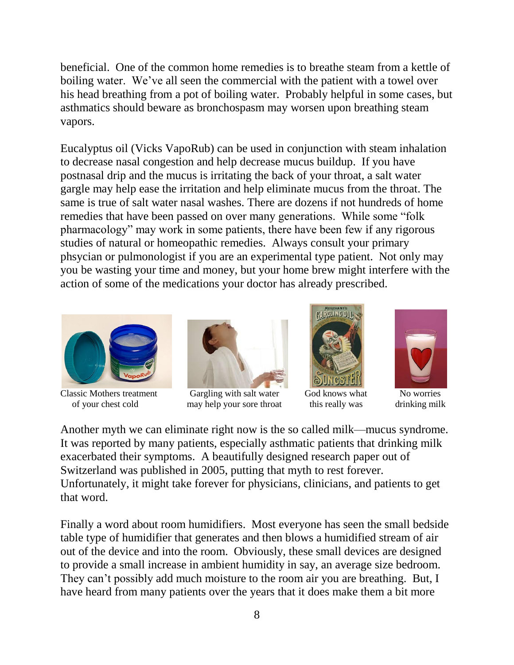beneficial. One of the common home remedies is to breathe steam from a kettle of boiling water. We've all seen the commercial with the patient with a towel over his head breathing from a pot of boiling water. Probably helpful in some cases, but asthmatics should beware as bronchospasm may worsen upon breathing steam vapors.

Eucalyptus oil (Vicks VapoRub) can be used in conjunction with steam inhalation to decrease nasal congestion and help decrease mucus buildup. If you have postnasal drip and the mucus is irritating the back of your throat, a salt water gargle may help ease the irritation and help eliminate mucus from the throat. The same is true of salt water nasal washes. There are dozens if not hundreds of home remedies that have been passed on over many generations. While some "folk pharmacology" may work in some patients, there have been few if any rigorous studies of natural or homeopathic remedies. Always consult your primary phsycian or pulmonologist if you are an experimental type patient. Not only may you be wasting your time and money, but your home brew might interfere with the action of some of the medications your doctor has already prescribed.





Classic Mothers treatment Gargling with salt water God knows what No worries of your chest cold may help your sore throat this really was drinking milk





Another myth we can eliminate right now is the so called milk—mucus syndrome. It was reported by many patients, especially asthmatic patients that drinking milk exacerbated their symptoms. A beautifully designed research paper out of Switzerland was published in 2005, putting that myth to rest forever. Unfortunately, it might take forever for physicians, clinicians, and patients to get that word.

Finally a word about room humidifiers. Most everyone has seen the small bedside table type of humidifier that generates and then blows a humidified stream of air out of the device and into the room. Obviously, these small devices are designed to provide a small increase in ambient humidity in say, an average size bedroom. They can't possibly add much moisture to the room air you are breathing. But, I have heard from many patients over the years that it does make them a bit more